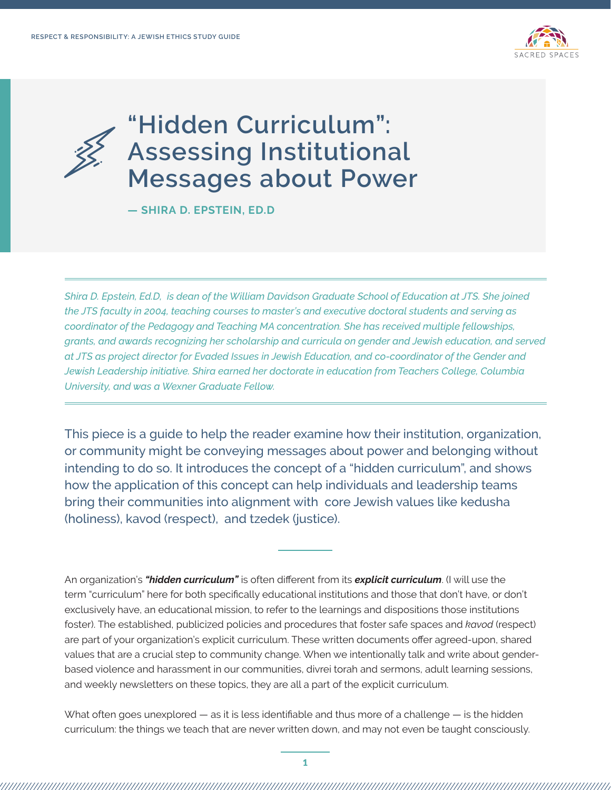

# **"Hidden Curriculum": Assessing Institutional Messages about Power**

**— SHIRA D. EPSTEIN, ED.D**

*Shira D. Epstein, Ed.D, is dean of the William Davidson Graduate School of Education at JTS. She joined the JTS faculty in 2004, teaching courses to master's and executive doctoral students and serving as coordinator of the Pedagogy and Teaching MA concentration. She has received multiple fellowships, grants, and awards recognizing her scholarship and curricula on gender and Jewish education, and served at JTS as project director for Evaded Issues in Jewish Education, and co-coordinator of the Gender and Jewish Leadership initiative. Shira earned her doctorate in education from Teachers College, Columbia University, and was a Wexner Graduate Fellow.*

This piece is a guide to help the reader examine how their institution, organization, or community might be conveying messages about power and belonging without intending to do so. It introduces the concept of a "hidden curriculum", and shows how the application of this concept can help individuals and leadership teams bring their communities into alignment with core Jewish values like kedusha (holiness), kavod (respect), and tzedek (justice).

An organization's *"hidden curriculum"* is often different from its *explicit curriculum*. (I will use the term "curriculum" here for both specifically educational institutions and those that don't have, or don't exclusively have, an educational mission, to refer to the learnings and dispositions those institutions foster). The established, publicized policies and procedures that foster safe spaces and *kavod* (respect) are part of your organization's explicit curriculum. These written documents offer agreed-upon, shared values that are a crucial step to community change. When we intentionally talk and write about genderbased violence and harassment in our communities, divrei torah and sermons, adult learning sessions, and weekly newsletters on these topics, they are all a part of the explicit curriculum.

What often goes unexplored  $-$  as it is less identifiable and thus more of a challenge  $-$  is the hidden curriculum: the things we teach that are never written down, and may not even be taught consciously.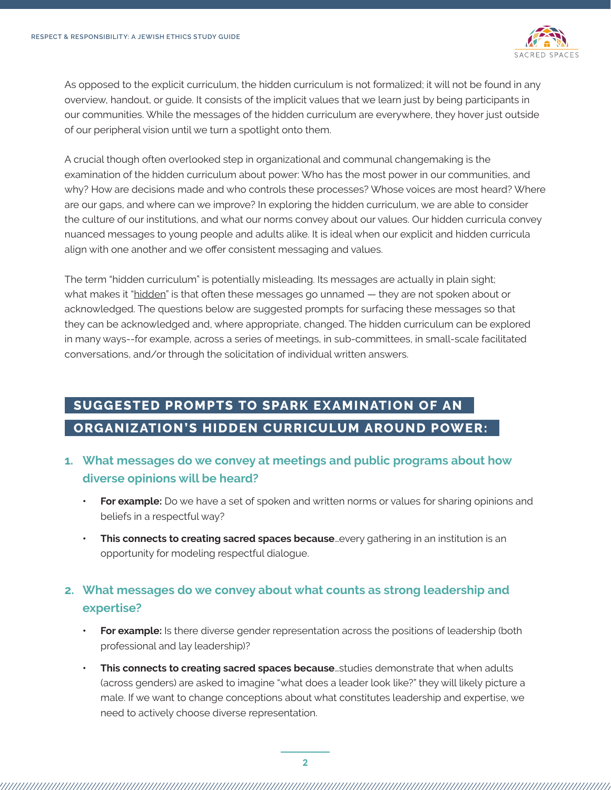

As opposed to the explicit curriculum, the hidden curriculum is not formalized; it will not be found in any overview, handout, or guide. It consists of the implicit values that we learn just by being participants in our communities. While the messages of the hidden curriculum are everywhere, they hover just outside of our peripheral vision until we turn a spotlight onto them.

A crucial though often overlooked step in organizational and communal changemaking is the examination of the hidden curriculum about power: Who has the most power in our communities, and why? How are decisions made and who controls these processes? Whose voices are most heard? Where are our gaps, and where can we improve? In exploring the hidden curriculum, we are able to consider the culture of our institutions, and what our norms convey about our values. Our hidden curricula convey nuanced messages to young people and adults alike. It is ideal when our explicit and hidden curricula align with one another and we offer consistent messaging and values.

The term "hidden curriculum" is potentially misleading. Its messages are actually in plain sight; what makes it "hidden" is that often these messages go unnamed - they are not spoken about or acknowledged. The questions below are suggested prompts for surfacing these messages so that they can be acknowledged and, where appropriate, changed. The hidden curriculum can be explored in many ways--for example, across a series of meetings, in sub-committees, in small-scale facilitated conversations, and/or through the solicitation of individual written answers.

# **SUGGESTED PROMPTS TO SPARK EXAMINATION OF AN ORGANIZATION'S HIDDEN CURRICULUM AROUND POWER:**

## **1. What messages do we convey at meetings and public programs about how diverse opinions will be heard?**

- **• For example:** Do we have a set of spoken and written norms or values for sharing opinions and beliefs in a respectful way?
- **This connects to creating sacred spaces because** every gathering in an institution is an opportunity for modeling respectful dialogue.

# **2. What messages do we convey about what counts as strong leadership and expertise?**

- **• For example:** Is there diverse gender representation across the positions of leadership (both professional and lay leadership)?
- **• This connects to creating sacred spaces because**…studies demonstrate that when adults (across genders) are asked to imagine "what does a leader look like?" they will likely picture a male. If we want to change conceptions about what constitutes leadership and expertise, we need to actively choose diverse representation.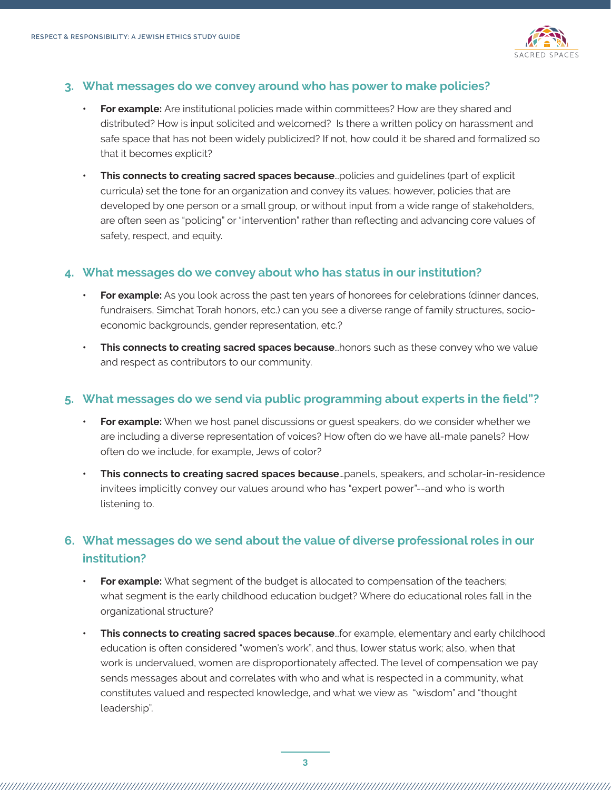

#### **3. What messages do we convey around who has power to make policies?**

- **• For example:** Are institutional policies made within committees? How are they shared and distributed? How is input solicited and welcomed? Is there a written policy on harassment and safe space that has not been widely publicized? If not, how could it be shared and formalized so that it becomes explicit?
- **• This connects to creating sacred spaces because**…policies and guidelines (part of explicit curricula) set the tone for an organization and convey its values; however, policies that are developed by one person or a small group, or without input from a wide range of stakeholders, are often seen as "policing" or "intervention" rather than reflecting and advancing core values of safety, respect, and equity.

#### **4. What messages do we convey about who has status in our institution?**

- **• For example:** As you look across the past ten years of honorees for celebrations (dinner dances, fundraisers, Simchat Torah honors, etc.) can you see a diverse range of family structures, socioeconomic backgrounds, gender representation, etc.?
- **This connects to creating sacred spaces because**...honors such as these convey who we value and respect as contributors to our community.

#### **5. What messages do we send via public programming about experts in the field"?**

- **• For example:** When we host panel discussions or guest speakers, do we consider whether we are including a diverse representation of voices? How often do we have all-male panels? How often do we include, for example, Jews of color?
- **• This connects to creating sacred spaces because**…panels, speakers, and scholar-in-residence invitees implicitly convey our values around who has "expert power"--and who is worth listening to.

## **6. What messages do we send about the value of diverse professional roles in our institution?**

- **• For example:** What segment of the budget is allocated to compensation of the teachers; what segment is the early childhood education budget? Where do educational roles fall in the organizational structure?
- **• This connects to creating sacred spaces because**…for example, elementary and early childhood education is often considered "women's work", and thus, lower status work; also, when that work is undervalued, women are disproportionately affected. The level of compensation we pay sends messages about and correlates with who and what is respected in a community, what constitutes valued and respected knowledge, and what we view as "wisdom" and "thought leadership".